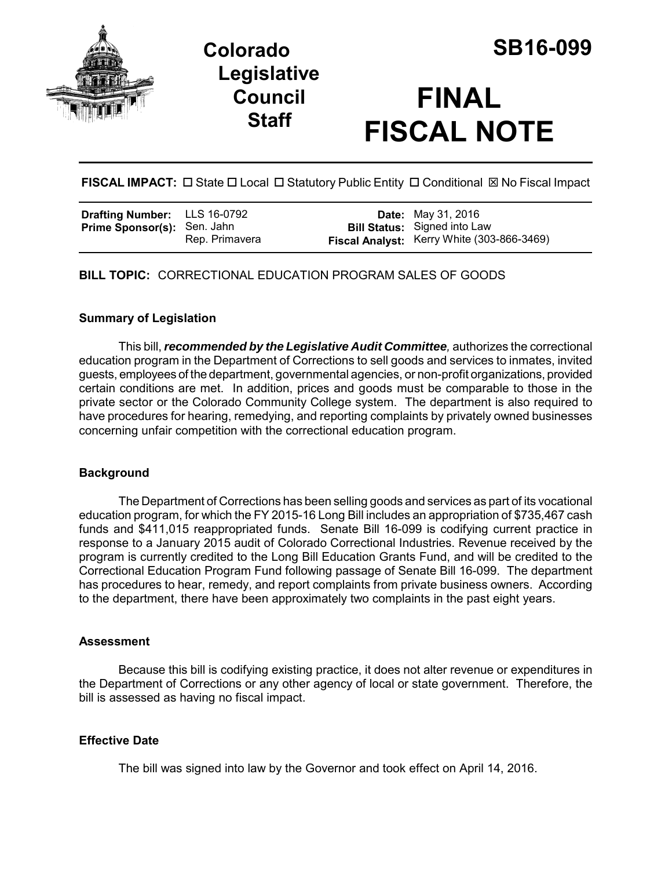



# **FINAL FISCAL NOTE**

**FISCAL IMPACT:** □ State □ Local □ Statutory Public Entity □ Conditional ⊠ No Fiscal Impact

| <b>Drafting Number:</b> LLS 16-0792 |                | <b>Date:</b> May 31, 2016                                                         |
|-------------------------------------|----------------|-----------------------------------------------------------------------------------|
| <b>Prime Sponsor(s): Sen. Jahn</b>  | Rep. Primavera | <b>Bill Status:</b> Signed into Law<br>Fiscal Analyst: Kerry White (303-866-3469) |

**BILL TOPIC:** CORRECTIONAL EDUCATION PROGRAM SALES OF GOODS

# **Summary of Legislation**

This bill, *recommended by the Legislative Audit Committee,* authorizes the correctional education program in the Department of Corrections to sell goods and services to inmates, invited guests, employees of the department, governmental agencies, or non-profit organizations, provided certain conditions are met. In addition, prices and goods must be comparable to those in the private sector or the Colorado Community College system. The department is also required to have procedures for hearing, remedying, and reporting complaints by privately owned businesses concerning unfair competition with the correctional education program.

# **Background**

The Department of Corrections has been selling goods and services as part of its vocational education program, for which the FY 2015-16 Long Bill includes an appropriation of \$735,467 cash funds and \$411,015 reappropriated funds. Senate Bill 16-099 is codifying current practice in response to a January 2015 audit of Colorado Correctional Industries. Revenue received by the program is currently credited to the Long Bill Education Grants Fund, and will be credited to the Correctional Education Program Fund following passage of Senate Bill 16-099. The department has procedures to hear, remedy, and report complaints from private business owners. According to the department, there have been approximately two complaints in the past eight years.

#### **Assessment**

Because this bill is codifying existing practice, it does not alter revenue or expenditures in the Department of Corrections or any other agency of local or state government. Therefore, the bill is assessed as having no fiscal impact.

# **Effective Date**

The bill was signed into law by the Governor and took effect on April 14, 2016.